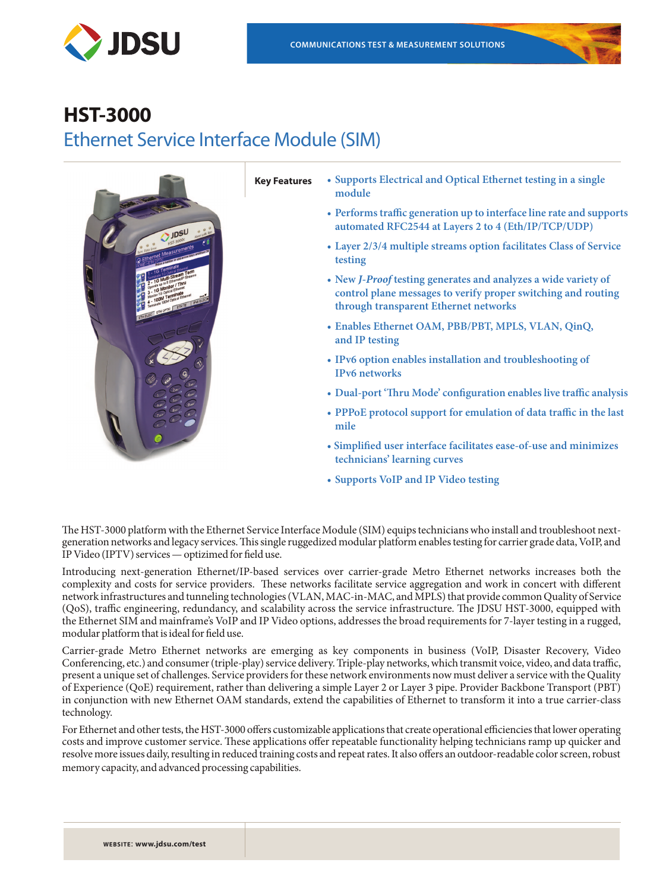





- **Key Features • Supports Electrical and Optical Ethernet testing in a single module**
	- **• Performs traffic generation up to interface line rate and supports automated RFC2544 at Layers 2 to 4 (Eth/IP/TCP/UDP)**
	- **• Layer 2/3/4 multiple streams option facilitates Class of Service testing**
	- **• New** *J-Proof* **testing generates and analyzes a wide variety of control plane messages to verify proper switching and routing through transparent Ethernet networks**
	- **• Enables Ethernet OAM, PBB/PBT, MPLS, VLAN, QinQ, and IP testing**
	- **• IPv6 option enables installation and troubleshooting of IPv6 networks**
	- **• Dual-port 'Thru Mode' configuration enables live traffic analysis**
	- **• PPPoE protocol support for emulation of data traffic in the last mile**
	- **Simplified user interface facilitates ease-of-use and minimizes technicians' learning curves**
	- **• Supports VoIP and IP Video testing**

The HST-3000 platform with the Ethernet Service Interface Module (SIM) equips technicians who install and troubleshoot nextgeneration networks and legacy services. This single ruggedized modular platform enables testing for carrier grade data, VoIP, and IP Video (IPTV) services — optizimed for field use.

Introducing next-generation Ethernet/IP-based services over carrier-grade Metro Ethernet networks increases both the complexity and costs for service providers. These networks facilitate service aggregation and work in concert with different network infrastructures and tunneling technologies (VLAN, MAC-in-MAC, and MPLS) that provide common Quality of Service (QoS), traffic engineering, redundancy, and scalability across the service infrastructure. The JDSU HST-3000, equipped with the Ethernet SIM and mainframe's VoIP and IP Video options, addresses the broad requirements for 7-layer testing in a rugged, modular platform that is ideal for field use.

Carrier-grade Metro Ethernet networks are emerging as key components in business (VoIP, Disaster Recovery, Video Conferencing, etc.) and consumer (triple-play) service delivery. Triple-play networks, which transmit voice, video, and data traffic, present a unique set of challenges. Service providers for these network environments now must deliver a service with the Quality of Experience (QoE) requirement, rather than delivering a simple Layer 2 or Layer 3 pipe. Provider Backbone Transport (PBT) in conjunction with new Ethernet OAM standards, extend the capabilities of Ethernet to transform it into a true carrier-class technology.

For Ethernet and other tests, the HST-3000 offers customizable applications that create operational efficiencies that lower operating costs and improve customer service. These applications offer repeatable functionality helping technicians ramp up quicker and resolve more issues daily, resulting in reduced training costs and repeat rates. It also offers an outdoor-readable color screen, robust memory capacity, and advanced processing capabilities.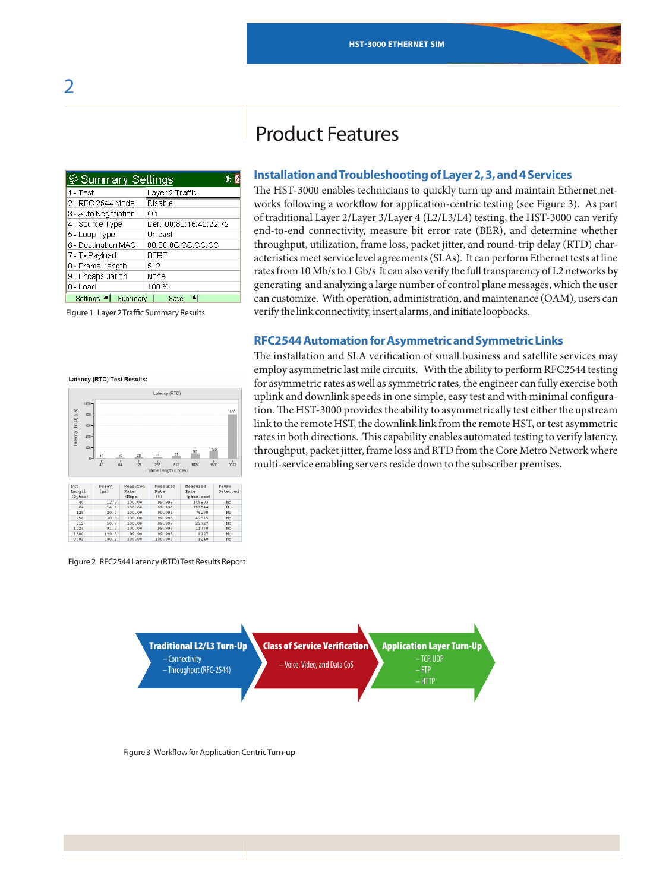Product Features

| క∕ Summary Settings  |                        |
|----------------------|------------------------|
| $1 - Test$           | Layer 2 Traffic        |
| 2 - RFC 2544 Mode    | Disable                |
| 3 - Auto Negotiation | On                     |
| 4 - Source Type      | Def. 00:80:16:45:22:72 |
| 5 - Loop Type        | Unicast                |
| 6 - Destination MAC  | 00:00:00:CC:CC:CC      |
| 7 - Tx Payload       | <b>BERT</b>            |
| 8 - Frame Length     | 512                    |
| 9 - Encapsulation    | None                   |
| $0 -$ Load           | 100%                   |
| Settings<br>Summary  | Save                   |

Figure 1 Layer 2 Traffic Summary Results

# **Installation and Troubleshooting of Layer 2, 3, and 4 Services**

The HST-3000 enables technicians to quickly turn up and maintain Ethernet networks following a workflow for application-centric testing (see Figure 3). As part of traditional Layer 2/Layer 3/Layer 4 (L2/L3/L4) testing, the HST-3000 can verify end-to-end connectivity, measure bit error rate (BER), and determine whether throughput, utilization, frame loss, packet jitter, and round-trip delay (RTD) characteristics meet service level agreements (SLAs). It can perform Ethernet tests at line rates from 10 Mb/s to 1 Gb/s It can also verify the full transparency of L2 networks by generating and analyzing a large number of control plane messages, which the user can customize. With operation, administration, and maintenance (OAM), users can verify the link connectivity, insert alarms, and initiate loopbacks.

# **RFC2544 Automation for Asymmetric and Symmetric Links**

The installation and SLA verification of small business and satellite services may employ asymmetric last mile circuits. With the ability to perform RFC2544 testing for asymmetric rates as well as symmetric rates, the engineer can fully exercise both uplink and downlink speeds in one simple, easy test and with minimal configuration. The HST-3000 provides the ability to asymmetrically test either the upstream link to the remote HST, the downlink link from the remote HST, or test asymmetric rates in both directions. This capability enables automated testing to verify latency, throughput, packet jitter, frame loss and RTD from the Core Metro Network where multi-service enabling servers reside down to the subscriber premises.



Figure 2 RFC2544 Latency (RTD) Test Results Report





#### Latency (RTD) Test Results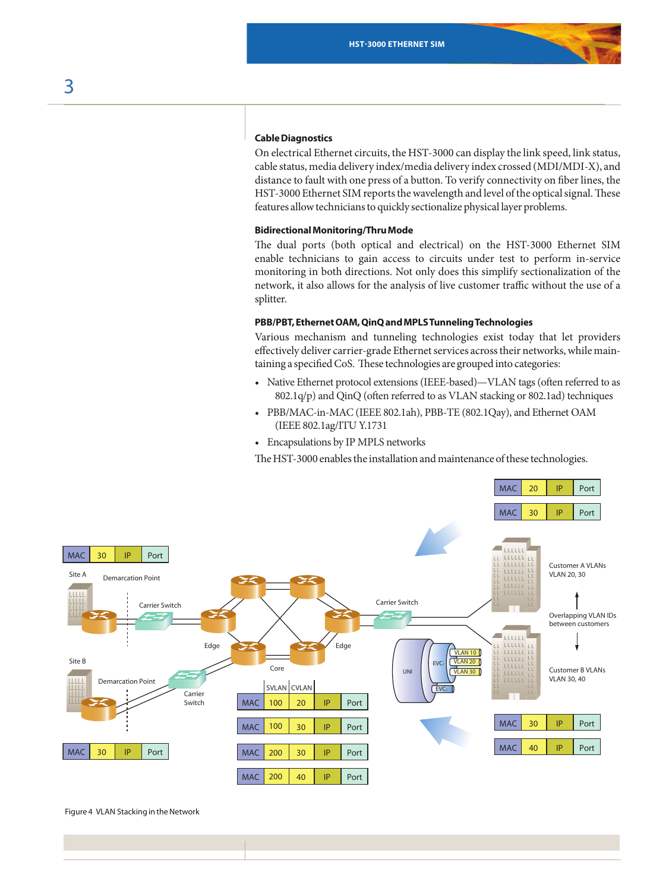# **Cable Diagnostics**

On electrical Ethernet circuits, the HST-3000 can display the link speed, link status, cable status, media delivery index/media delivery index crossed (MDI/MDI-X), and distance to fault with one press of a button. To verify connectivity on fiber lines, the HST-3000 Ethernet SIM reports the wavelength and level of the optical signal. These features allow technicians to quickly sectionalize physical layer problems.

#### **Bidirectional Monitoring/Thru Mode**

The dual ports (both optical and electrical) on the HST-3000 Ethernet SIM enable technicians to gain access to circuits under test to perform in-service monitoring in both directions. Not only does this simplify sectionalization of the network, it also allows for the analysis of live customer traffic without the use of a splitter.

# **PBB/PBT, Ethernet OAM, QinQ and MPLS Tunneling Technologies**

Various mechanism and tunneling technologies exist today that let providers effectively deliver carrier-grade Ethernet services across their networks, while maintaining a specified CoS. These technologies are grouped into categories:

- • Native Ethernet protocol extensions (IEEE-based)—VLAN tags (often referred to as 802.1q/p) and QinQ (often referred to as VLAN stacking or 802.1ad) techniques
- • PBB/MAC-in-MAC (IEEE 802.1ah), PBB-TE (802.1Qay), and Ethernet OAM (IEEE 802.1ag/ITU Y.1731
- • Encapsulations by IP MPLS networks

The HST-3000 enables the installation and maintenance of these technologies.



Figure 4 VLAN Stacking in the Network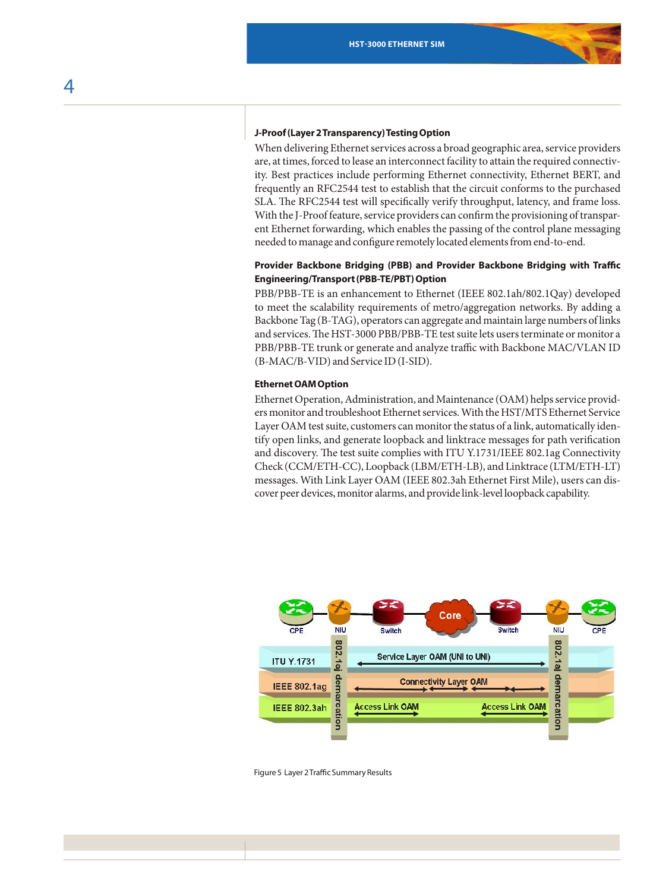#### **J-Proof (Layer 2 Transparency) Testing Option**

When delivering Ethernet services across a broad geographic area, service providers are, at times, forced to lease an interconnect facility to attain the required connectivity. Best practices include performing Ethernet connectivity, Ethernet BERT, and frequently an RFC2544 test to establish that the circuit conforms to the purchased SLA. The RFC2544 test will specifically verify throughput, latency, and frame loss. With the J-Proof feature, service providers can confirm the provisioning of transparent Ethernet forwarding, which enables the passing of the control plane messaging needed to manage and configure remotely located elements from end-to-end.

# **Provider Backbone Bridging (PBB) and Provider Backbone Bridging with Traffic Engineering/Transport (PBB-TE/PBT) Option**

PBB/PBB-TE is an enhancement to Ethernet (IEEE 802.1ah/802.1Qay) developed to meet the scalability requirements of metro/aggregation networks. By adding a Backbone Tag (B-TAG), operators can aggregate and maintain large numbers of links and services. The HST-3000 PBB/PBB-TE test suite lets users terminate or monitor a PBB/PBB-TE trunk or generate and analyze traffic with Backbone MAC/VLAN ID (B-MAC/B-VID) and Service ID (I-SID).

#### **Ethernet OAM Option**

Ethernet Operation, Administration, and Maintenance (OAM) helps service providers monitor and troubleshoot Ethernet services. With the HST/MTS Ethernet Service Layer OAM test suite, customers can monitor the status of a link, automatically identify open links, and generate loopback and linktrace messages for path verification and discovery. The test suite complies with ITU Y.1731/IEEE 802.1ag Connectivity Check (CCM/ETH-CC), Loopback (LBM/ETH-LB), and Linktrace (LTM/ETH-LT) messages. With Link Layer OAM (IEEE 802.3ah Ethernet First Mile), users can discover peer devices, monitor alarms, and provide link-level loopback capability.



Figure 5 Layer 2 Traffic Summary Results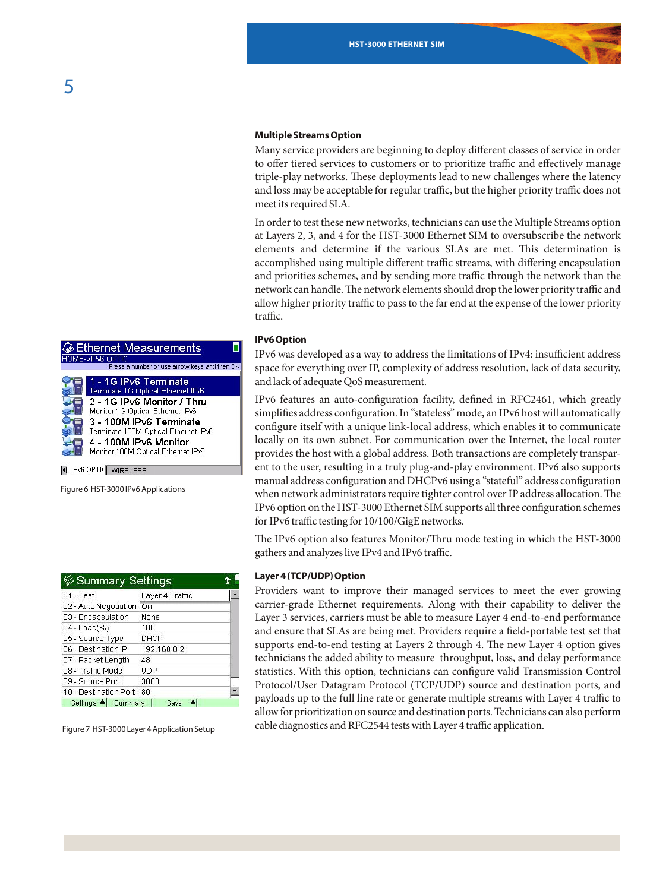#### **Multiple Streams Option**

Many service providers are beginning to deploy different classes of service in order to offer tiered services to customers or to prioritize traffic and effectively manage triple-play networks. These deployments lead to new challenges where the latency and loss may be acceptable for regular traffic, but the higher priority traffic does not meet its required SLA.

In order to test these new networks, technicians can use the Multiple Streams option at Layers 2, 3, and 4 for the HST-3000 Ethernet SIM to oversubscribe the network elements and determine if the various SLAs are met. This determination is accomplished using multiple different traffic streams, with differing encapsulation and priorities schemes, and by sending more traffic through the network than the network can handle. The network elements should drop the lower priority traffic and allow higher priority traffic to pass to the far end at the expense of the lower priority traffic.

### **IPv6 Option**

IPv6 was developed as a way to address the limitations of IPv4: insufficient address space for everything over IP, complexity of address resolution, lack of data security, and lack of adequate QoS measurement.

IPv6 features an auto-configuration facility, defined in RFC2461, which greatly simplifies address configuration. In "stateless" mode, an IPv6 host will automatically configure itself with a unique link-local address, which enables it to communicate locally on its own subnet. For communication over the Internet, the local router provides the host with a global address. Both transactions are completely transparent to the user, resulting in a truly plug-and-play environment. IPv6 also supports manual address configuration and DHCPv6 using a "stateful" address configuration when network administrators require tighter control over IP address allocation. The IPv6 option on the HST-3000 Ethernet SIM supports all three configuration schemes for IPv6 traffic testing for 10/100/GigE networks.

The IPv6 option also features Monitor/Thru mode testing in which the HST-3000 gathers and analyzes live IPv4 and IPv6 traffic.

#### **Layer 4 (TCP/UDP) Option**

Providers want to improve their managed services to meet the ever growing carrier-grade Ethernet requirements. Along with their capability to deliver the Layer 3 services, carriers must be able to measure Layer 4 end-to-end performance and ensure that SLAs are being met. Providers require a field-portable test set that supports end-to-end testing at Layers 2 through 4. The new Layer 4 option gives technicians the added ability to measure throughput, loss, and delay performance statistics. With this option, technicians can configure valid Transmission Control Protocol/User Datagram Protocol (TCP/UDP) source and destination ports, and payloads up to the full line rate or generate multiple streams with Layer 4 traffic to allow for prioritization on source and destination ports. Technicians can also perform cable diagnostics and RFC2544 tests with Layer 4 traffic application.

| <b>Ethernet Measurements</b><br>HOME->IPv6 OPTIC                                                                                                                                                                                                                |
|-----------------------------------------------------------------------------------------------------------------------------------------------------------------------------------------------------------------------------------------------------------------|
| Press a number or use arrow keys and then O                                                                                                                                                                                                                     |
| 1 - 1G IPv6 Terminate<br>Terminate 1G Optical Ethernet IPv6<br>2 - 1G IPv6 Monitor / Thru<br>Monitor 1G Optical Ethernet IPv6<br>3 - 100M IPv6 Terminate<br>Terminate 100M Optical Ethernet IPv6<br>4 - 100M IPv6 Monitor<br>Monitor 100M Optical Ethernet IPv6 |
| IPv6 OPTIC<br><b>WIRELESS</b>                                                                                                                                                                                                                                   |

Figure 6 HST-3000 IPv6 Applications

| ⊗ Summary Settings    |                 |  |
|-----------------------|-----------------|--|
| $01 - Test$           | Layer 4 Traffic |  |
| 02 - Auto Negotiation | On              |  |
| 03 - Encapsulation    | None            |  |
| 04 - Load(%)          | 100             |  |
| 05 - Source Type      | DHCP            |  |
| 06 - Destination IP   | 192.168.0.2     |  |
| 07 - Packet Length    | 48              |  |
| 08 - Traffic Mode     | <b>UDP</b>      |  |
| 09 - Source Port      | 3000            |  |
| 10 - Destination Port | 80              |  |
| Settings 4<br>Summary | Save            |  |

Figure 7 HST-3000 Layer 4 Application Setup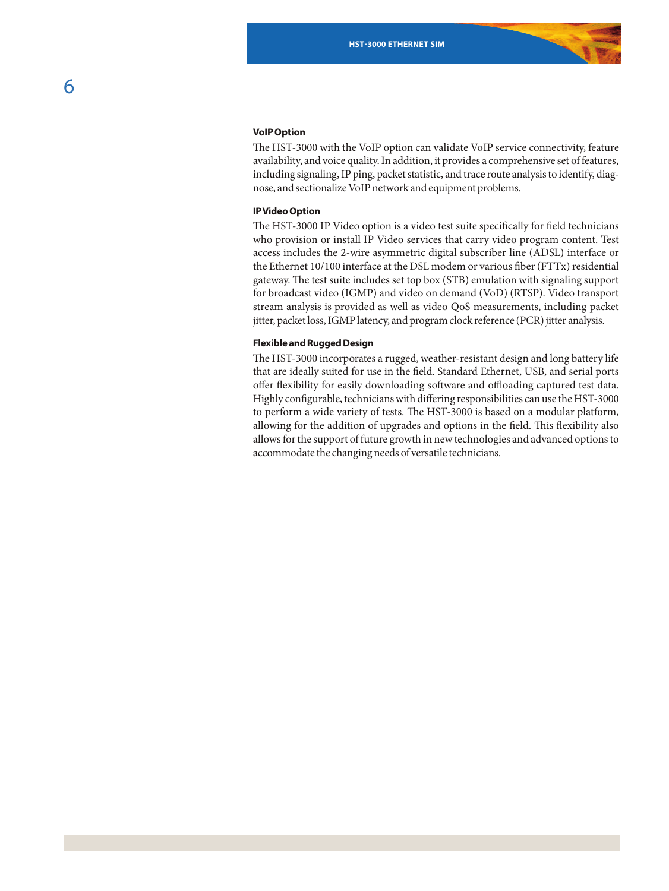# **VoIP Option**

The HST-3000 with the VoIP option can validate VoIP service connectivity, feature availability, and voice quality. In addition, it provides a comprehensive set of features, including signaling, IP ping, packet statistic, and trace route analysis to identify, diagnose, and sectionalize VoIP network and equipment problems.

# **IP Video Option**

The HST-3000 IP Video option is a video test suite specifically for field technicians who provision or install IP Video services that carry video program content. Test access includes the 2-wire asymmetric digital subscriber line (ADSL) interface or the Ethernet 10/100 interface at the DSL modem or various fiber (FTTx) residential gateway. The test suite includes set top box (STB) emulation with signaling support for broadcast video (IGMP) and video on demand (VoD) (RTSP). Video transport stream analysis is provided as well as video QoS measurements, including packet jitter, packet loss, IGMP latency, and program clock reference (PCR) jitter analysis.

### **Flexible and Rugged Design**

The HST-3000 incorporates a rugged, weather-resistant design and long battery life that are ideally suited for use in the field. Standard Ethernet, USB, and serial ports offer flexibility for easily downloading software and offloading captured test data. Highly configurable, technicians with differing responsibilities can use the HST-3000 to perform a wide variety of tests. The HST-3000 is based on a modular platform, allowing for the addition of upgrades and options in the field. This flexibility also allows for the support of future growth in new technologies and advanced options to accommodate the changing needs of versatile technicians.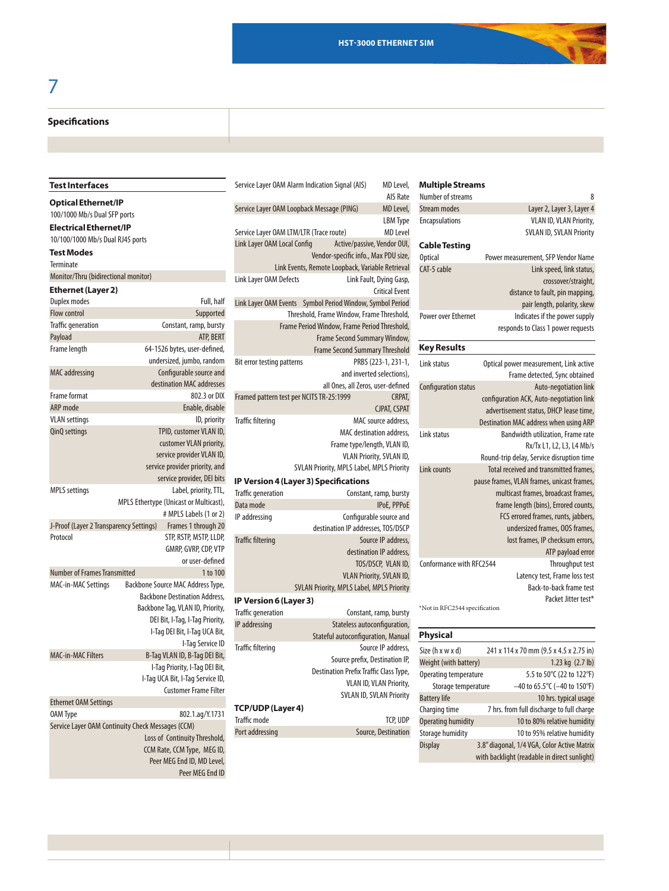#### **Specifications Specifications**

# **Test Interfaces**

**Optical Ethernet/IP** 100/1000 Mb/s Dual SFP ports **Electrical Ethernet/IP**

10/100/1000 Mb/s Dual RJ45 ports

# **Test Modes**

Terminate Monitor/Thru (bidirectional monitor)

# **Ethernet (Layer 2)**

| Duplex modes                            | Full, half                                        |
|-----------------------------------------|---------------------------------------------------|
| Flow control                            | Supported                                         |
| <b>Traffic generation</b>               | Constant, ramp, bursty                            |
| Payload                                 | ATP, BERT                                         |
| Frame length                            | 64-1526 bytes, user-defined,                      |
|                                         | undersized, jumbo, random                         |
| MAC addressing                          | Configurable source and                           |
|                                         | destination MAC addresses                         |
| Frame format                            | 802.3 or DIX                                      |
| <b>ARP</b> mode                         | Enable, disable                                   |
| <b>VLAN</b> settings                    | ID, priority                                      |
| QinQ settings                           | TPID, customer VLAN ID,                           |
|                                         | customer VLAN priority,                           |
|                                         | service provider VLAN ID,                         |
|                                         | service provider priority, and                    |
|                                         | service provider, DEI bits                        |
| <b>MPLS</b> settings                    | Label, priority, TTL,                             |
|                                         | MPLS Ethertype (Unicast or Multicast),            |
|                                         | # MPLS Labels (1 or 2)                            |
| J-Proof (Layer 2 Transparency Settings) | Frames 1 through 20                               |
| Protocol                                | STP, RSTP, MSTP, LLDP,                            |
|                                         | GMRP, GVRP, CDP, VTP                              |
|                                         | or user-defined                                   |
| <b>Number of Frames Transmitted</b>     | 1 to 100                                          |
| MAC-in-MAC Settings                     | Backbone Source MAC Address Type,                 |
|                                         | <b>Backbone Destination Address,</b>              |
|                                         | Backbone Tag, VLAN ID, Priority,                  |
|                                         | DEI Bit, I-Tag, I-Tag Priority,                   |
|                                         | I-Tag DEI Bit, I-Tag UCA Bit,                     |
|                                         | I-Tag Service ID                                  |
| <b>MAC-in-MAC Filters</b>               | B-Tag VLAN ID, B-Tag DEI Bit,                     |
|                                         | I-Tag Priority, I-Tag DEI Bit,                    |
|                                         | I-Tag UCA Bit, I-Tag Service ID,                  |
|                                         | <b>Customer Frame Filter</b>                      |
| <b>Ethernet OAM Settings</b>            |                                                   |
| <b>OAM Type</b>                         | 802.1.ag/Y.1731                                   |
|                                         | Service Layer OAM Continuity Check Messages (CCM) |
|                                         | Loss of Continuity Threshold,                     |
|                                         | CCM Rate, CCM Type, MEG ID,                       |
|                                         | Peer MEG End ID, MD Level,                        |

Service Layer OAM Loopback Message (PING) MD Level, LBM Type Service Layer OAM LTM/LTR (Trace route) MD Level Link Layer OAM Local Config Active/passive, Vendor OUI, Vendor-specific info., Max PDU size, Link Events, Remote Loopback, Variable Retrieval Link Layer OAM Defects Link Fault, Dying Gasp, Critical Event Link Layer OAM Events Symbol Period Window, Symbol Period Threshold, Frame Window, Frame Threshold, Frame Period Window, Frame Period Threshold, Frame Second Summary Window, Frame Second Summary Threshold Bit error testing patterns PRBS (223-1, 231-1, and inverted selections), all Ones, all Zeros, user-defined Framed pattern test per NCITS TR-25:1999 CRPAT, CJPAT, CSPAT Traffic filtering match of MAC source address, MAC destination address, Frame type/length, VLAN ID, VLAN Priority, SVLAN ID, SVLAN Priority, MPLS Label, MPLS Priority **IP Version 4 (Layer 3) Specifications** Traffic generation Constant, ramp, bursty Data mode **IPoE**, PPPoE IPaddressing Configurable source and destination IP addresses, TOS/DSCP Traffic filtering Source IP address destination IP address TOS/DSCP, VLAN ID, VLAN Priority, SVLAN ID, SVLAN Priority, MPLS Label, MPLS Priority **IP Version 6 (Layer 3)** Traffic generation Constant, ramp, bursty IP addressing Stateless autoconfiguration, Stateful autoconfiguration, Manual

Traffic filtering Source IP address, Source prefix, Destination IP, Destination Prefix Traffic Class Type, VLAN ID, VLAN Priority, SVLAN ID, SVLAN Priority **TCP/UDP (Layer 4)**

### Traffic mode TCP, UDP Port addressing Source, Destination

Peer MEG End ID

| AIS Rate         | Number of streams          | 8                                  |
|------------------|----------------------------|------------------------------------|
| MD Level,        | Stream modes               | Layer 2, Layer 3, Layer 4          |
| LBM Type         | <b>Encapsulations</b>      | <b>VLAN ID, VLAN Priority,</b>     |
| <b>MD Level</b>  |                            | <b>SVLAN ID, SVLAN Priority</b>    |
| ndor OUI.        | <b>Cable Testing</b>       |                                    |
| PDU size.        | <b>Optical</b>             | Power measurement, SFP Vendor Name |
| Retrieval        | CAT-5 cable                | Link speed, link status,           |
| ing Gasp,        |                            | crossover/straight,                |
| ical Event       |                            | distance to fault, pin mapping,    |
| <b>ol Period</b> |                            | pair length, polarity, skew        |
| hreshold,        | <b>Power over Ethernet</b> | Indicates if the power supply      |
| hreshold,        |                            | responds to Class 1 power requests |
| Window.          |                            |                                    |
| <b>Threshold</b> | <b>Key Results</b>         |                                    |

| Link status                   | Optical power measurement, Link active     |
|-------------------------------|--------------------------------------------|
|                               | Frame detected, Sync obtained              |
| Configuration status          | Auto-negotiation link                      |
|                               | configuration ACK, Auto-negotiation link   |
|                               | advertisement status, DHCP lease time,     |
|                               | Destination MAC address when using ARP     |
| Link status                   | Bandwidth utilization, Frame rate          |
|                               | Rx/Tx L1, L2, L3, L4 Mb/s                  |
|                               | Round-trip delay, Service disruption time  |
| Link counts                   | Total received and transmitted frames,     |
|                               | pause frames, VLAN frames, unicast frames, |
|                               | multicast frames, broadcast frames,        |
|                               | frame length (bins), Errored counts,       |
|                               | FCS errored frames, runts, jabbers,        |
|                               | undersized frames, OOS frames,             |
|                               | lost frames, IP checksum errors,           |
|                               | ATP payload error                          |
| Conformance with RFC2544      | Throughput test                            |
|                               | Latency test, Frame loss test              |
|                               | Back-to-back frame test                    |
|                               | Packet Jitter test*                        |
| *Not in RFC2544 specification |                                            |

### **Physical**

| Size (h x w x d)        | 241 x 114 x 70 mm (9.5 x 4.5 x 2.75 in)      |
|-------------------------|----------------------------------------------|
| Weight (with battery)   | 1.23 kg $(2.7 \text{ lb})$                   |
| Operating temperature   | 5.5 to 50°C (22 to 122°F)                    |
| Storage temperature     | $-40$ to 65.5°C (-40 to 150°F)               |
| <b>Battery life</b>     | 10 hrs. typical usage                        |
| Charging time           | 7 hrs. from full discharge to full charge    |
| Operating humidity      | 10 to 80% relative humidity                  |
| <b>Storage humidity</b> | 10 to 95% relative humidity                  |
| <b>Display</b>          | 3.8" diagonal, 1/4 VGA, Color Active Matrix  |
|                         | with backlight (readable in direct sunlight) |

# 7